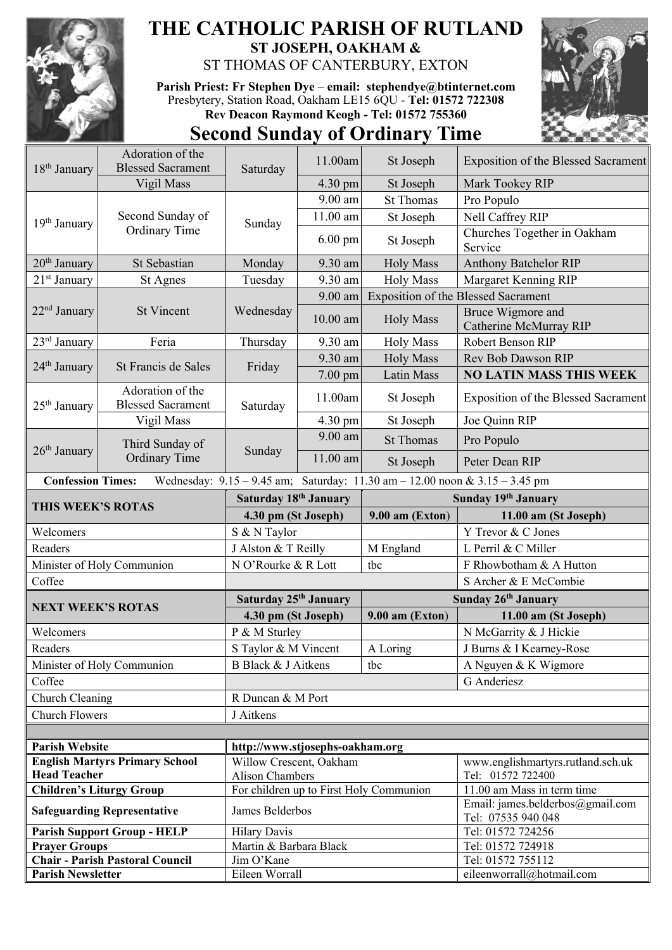

## **THE CATHOLIC PARISH OF RUTLAND ST JOSEPH, OAKHAM &**

ST THOMAS OF CANTERBURY, EXTON

**Parish Priest: Fr Stephen Dye** – **[email: stephendye@btinternet.com](mailto:email:%20%20stephendye@btinternet.com)** Presbytery, Station Road, Oakham LE15 6QU - **Tel: 01572 722308 Rev Deacon Raymond Keogh - Tel: 01572 755360**



## **Second Sunday of Ordinary Time**

| 18 <sup>th</sup> January                                                                                | Adoration of the<br><b>Blessed Sacrament</b> | Saturday                                                          | 11.00am                                                    | St Joseph           | <b>Exposition of the Blessed Sacrament</b>             |  |  |
|---------------------------------------------------------------------------------------------------------|----------------------------------------------|-------------------------------------------------------------------|------------------------------------------------------------|---------------------|--------------------------------------------------------|--|--|
|                                                                                                         | Vigil Mass                                   |                                                                   | 4.30 pm                                                    | St Joseph           | Mark Tookey RIP                                        |  |  |
|                                                                                                         |                                              |                                                                   | 9.00 am                                                    | <b>St Thomas</b>    | Pro Populo                                             |  |  |
|                                                                                                         | Second Sunday of<br>Ordinary Time            | Sunday                                                            | 11.00 am                                                   | St Joseph           | Nell Caffrey RIP                                       |  |  |
| 19 <sup>th</sup> January                                                                                |                                              |                                                                   |                                                            |                     | Churches Together in Oakham                            |  |  |
|                                                                                                         |                                              |                                                                   | $6.00 \text{ pm}$                                          | St Joseph           | Service                                                |  |  |
| 20 <sup>th</sup> January                                                                                | St Sebastian                                 | Monday                                                            | 9.30 am                                                    | <b>Holy Mass</b>    | <b>Anthony Batchelor RIP</b>                           |  |  |
| 21 <sup>st</sup> January                                                                                | St Agnes                                     | Tuesday                                                           | 9.30 am                                                    | <b>Holy Mass</b>    | Margaret Kenning RIP                                   |  |  |
| $22nd$ January                                                                                          | <b>St Vincent</b>                            | Wednesday                                                         | $9.00$ am                                                  |                     | <b>Exposition of the Blessed Sacrament</b>             |  |  |
|                                                                                                         |                                              |                                                                   | $10.00$ am                                                 | <b>Holy Mass</b>    | Bruce Wigmore and<br>Catherine McMurray RIP            |  |  |
| $23rd$ January                                                                                          | Feria                                        | Thursday                                                          | 9.30 am                                                    | <b>Holy Mass</b>    | Robert Benson RIP                                      |  |  |
|                                                                                                         | St Francis de Sales                          | Friday                                                            | 9.30 am                                                    | <b>Holy Mass</b>    | Rev Bob Dawson RIP                                     |  |  |
| 24 <sup>th</sup> January                                                                                |                                              |                                                                   | $7.00$ pm                                                  | Latin Mass          | <b>NO LATIN MASS THIS WEEK</b>                         |  |  |
| $25th$ January                                                                                          | Adoration of the<br><b>Blessed Sacrament</b> | Saturday                                                          | 11.00am                                                    | St Joseph           | <b>Exposition of the Blessed Sacrament</b>             |  |  |
|                                                                                                         | Vigil Mass                                   |                                                                   | 4.30 pm                                                    | St Joseph           | Joe Quinn RIP                                          |  |  |
|                                                                                                         | Third Sunday of<br><b>Ordinary Time</b>      | Sunday                                                            | 9.00 am                                                    | <b>St Thomas</b>    | Pro Populo                                             |  |  |
| $26th$ January                                                                                          |                                              |                                                                   | 11.00 am                                                   | St Joseph           | Peter Dean RIP                                         |  |  |
| <b>Confession Times:</b><br>Wednesday: 9.15 - 9.45 am; Saturday: 11.30 am - 12.00 noon & 3.15 - 3.45 pm |                                              |                                                                   |                                                            |                     |                                                        |  |  |
| THIS WEEK'S ROTAS                                                                                       |                                              | Saturday 18th January                                             |                                                            | Sunday 19th January |                                                        |  |  |
|                                                                                                         |                                              | 4.30 pm (St Joseph)                                               |                                                            | $9.00$ am (Exton)   | 11.00 am (St Joseph)                                   |  |  |
| Welcomers                                                                                               |                                              | S & N Taylor                                                      |                                                            |                     | Y Trevor & C Jones                                     |  |  |
| Readers                                                                                                 |                                              | J Alston & T Reilly                                               |                                                            | M England           | L Perril & C Miller                                    |  |  |
| Minister of Holy Communion                                                                              |                                              | N O'Rourke & R Lott                                               |                                                            | tbc                 | F Rhowbotham & A Hutton                                |  |  |
| Coffee                                                                                                  |                                              |                                                                   |                                                            |                     | S Archer & E McCombie                                  |  |  |
|                                                                                                         |                                              | Saturday 25 <sup>th</sup> January                                 |                                                            | Sunday 26th January |                                                        |  |  |
|                                                                                                         | <b>NEXT WEEK'S ROTAS</b>                     |                                                                   | 4.30 pm (St Joseph)                                        |                     | 11.00 am (St Joseph)                                   |  |  |
| Welcomers                                                                                               |                                              | P & M Sturley                                                     |                                                            |                     | N McGarrity & J Hickie                                 |  |  |
| Readers                                                                                                 |                                              | S Taylor & M Vincent                                              |                                                            | A Loring            | J Burns & I Kearney-Rose                               |  |  |
|                                                                                                         | Minister of Holy Communion                   | B Black & J Aitkens                                               |                                                            | tbc                 | A Nguyen & K Wigmore                                   |  |  |
| Coffee                                                                                                  |                                              |                                                                   | G Anderiesz                                                |                     |                                                        |  |  |
|                                                                                                         | Church Cleaning                              |                                                                   | R Duncan & M Port                                          |                     |                                                        |  |  |
| <b>Church Flowers</b>                                                                                   |                                              | J Aitkens                                                         |                                                            |                     |                                                        |  |  |
|                                                                                                         |                                              |                                                                   |                                                            |                     |                                                        |  |  |
|                                                                                                         | <b>Parish Website</b>                        |                                                                   | http://www.stjosephs-oakham.org<br>Willow Crescent, Oakham |                     |                                                        |  |  |
| <b>Head Teacher</b>                                                                                     | <b>English Martyrs Primary School</b>        |                                                                   |                                                            |                     | www.englishmartyrs.rutland.sch.uk<br>Tel: 01572 722400 |  |  |
| <b>Children's Liturgy Group</b>                                                                         |                                              | <b>Alison Chambers</b><br>For children up to First Holy Communion |                                                            |                     | 11.00 am Mass in term time                             |  |  |
| <b>Safeguarding Representative</b>                                                                      |                                              | James Belderbos                                                   |                                                            |                     | Email: james.belderbos@gmail.com<br>Tel: 07535 940 048 |  |  |
| <b>Parish Support Group - HELP</b>                                                                      |                                              | <b>Hilary Davis</b>                                               |                                                            |                     | Tel: 01572 724256                                      |  |  |
| <b>Prayer Groups</b>                                                                                    |                                              | Martin & Barbara Black                                            |                                                            |                     | Tel: 01572 724918                                      |  |  |
| <b>Chair - Parish Pastoral Council</b>                                                                  |                                              | Jim O'Kane                                                        |                                                            |                     | Tel: 01572 755112                                      |  |  |
| <b>Parish Newsletter</b>                                                                                |                                              | Eileen Worrall                                                    |                                                            |                     | eileenworrall@hotmail.com                              |  |  |